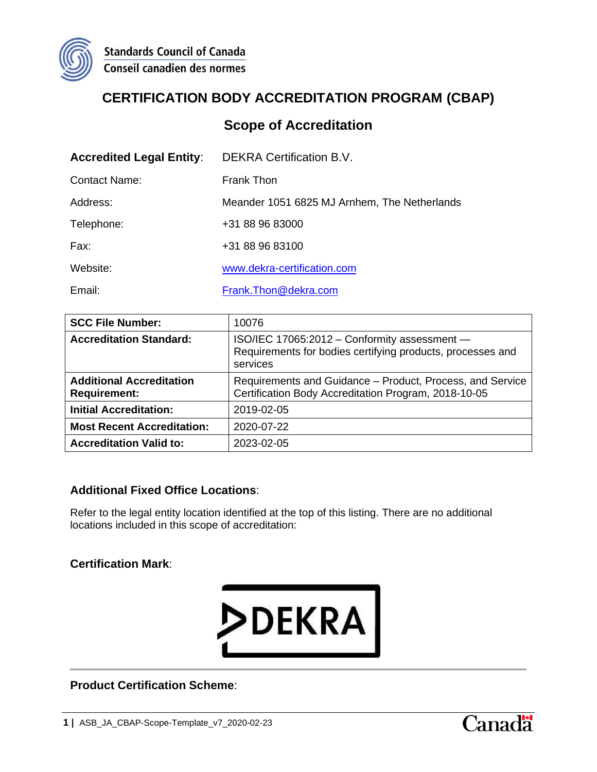

# **CERTIFICATION BODY ACCREDITATION PROGRAM (CBAP)**

### **Scope of Accreditation**

| <b>Accredited Legal Entity:</b> | <b>DEKRA Certification B.V.</b>              |
|---------------------------------|----------------------------------------------|
| <b>Contact Name:</b>            | <b>Frank Thon</b>                            |
| Address:                        | Meander 1051 6825 MJ Arnhem, The Netherlands |
| Telephone:                      | +31 88 96 83000                              |
| Fax:                            | +31 88 96 83100                              |
| Website:                        | www.dekra-certification.com                  |
| Email:                          | Frank.Thon@dekra.com                         |

| <b>SCC File Number:</b>                                | 10076                                                                                                                  |
|--------------------------------------------------------|------------------------------------------------------------------------------------------------------------------------|
| <b>Accreditation Standard:</b>                         | ISO/IEC 17065:2012 - Conformity assessment -<br>Requirements for bodies certifying products, processes and<br>services |
| <b>Additional Accreditation</b><br><b>Requirement:</b> | Requirements and Guidance – Product, Process, and Service<br>Certification Body Accreditation Program, 2018-10-05      |
| <b>Initial Accreditation:</b>                          | 2019-02-05                                                                                                             |
| <b>Most Recent Accreditation:</b>                      | 2020-07-22                                                                                                             |
| <b>Accreditation Valid to:</b>                         | 2023-02-05                                                                                                             |

#### **Additional Fixed Office Locations**:

Refer to the legal entity location identified at the top of this listing. There are no additional locations included in this scope of accreditation:

#### **Certification Mark**:



**Product Certification Scheme**:

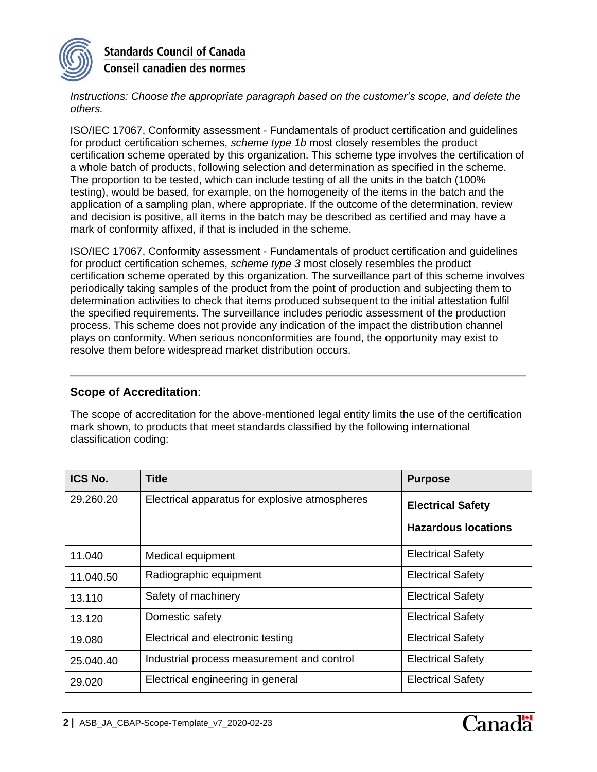

**Standards Council of Canada Conseil canadien des normes** 

*Instructions: Choose the appropriate paragraph based on the customer's scope, and delete the others.*

ISO/IEC 17067, Conformity assessment - Fundamentals of product certification and guidelines for product certification schemes, *scheme type 1b* most closely resembles the product certification scheme operated by this organization. This scheme type involves the certification of a whole batch of products, following selection and determination as specified in the scheme. The proportion to be tested, which can include testing of all the units in the batch (100% testing), would be based, for example, on the homogeneity of the items in the batch and the application of a sampling plan, where appropriate. If the outcome of the determination, review and decision is positive, all items in the batch may be described as certified and may have a mark of conformity affixed, if that is included in the scheme.

ISO/IEC 17067, Conformity assessment - Fundamentals of product certification and guidelines for product certification schemes, *scheme type 3* most closely resembles the product certification scheme operated by this organization. The surveillance part of this scheme involves periodically taking samples of the product from the point of production and subjecting them to determination activities to check that items produced subsequent to the initial attestation fulfil the specified requirements. The surveillance includes periodic assessment of the production process. This scheme does not provide any indication of the impact the distribution channel plays on conformity. When serious nonconformities are found, the opportunity may exist to resolve them before widespread market distribution occurs.

#### **Scope of Accreditation**:

The scope of accreditation for the above-mentioned legal entity limits the use of the certification mark shown, to products that meet standards classified by the following international classification coding:

| <b>ICS No.</b> | Title                                          | <b>Purpose</b>             |
|----------------|------------------------------------------------|----------------------------|
| 29.260.20      | Electrical apparatus for explosive atmospheres | <b>Electrical Safety</b>   |
|                |                                                | <b>Hazardous locations</b> |
| 11.040         | Medical equipment                              | <b>Electrical Safety</b>   |
| 11.040.50      | Radiographic equipment                         | <b>Electrical Safety</b>   |
| 13.110         | Safety of machinery                            | <b>Electrical Safety</b>   |
| 13.120         | Domestic safety                                | <b>Electrical Safety</b>   |
| 19.080         | Electrical and electronic testing              | <b>Electrical Safety</b>   |
| 25.040.40      | Industrial process measurement and control     | <b>Electrical Safety</b>   |
| 29.020         | Electrical engineering in general              | <b>Electrical Safety</b>   |

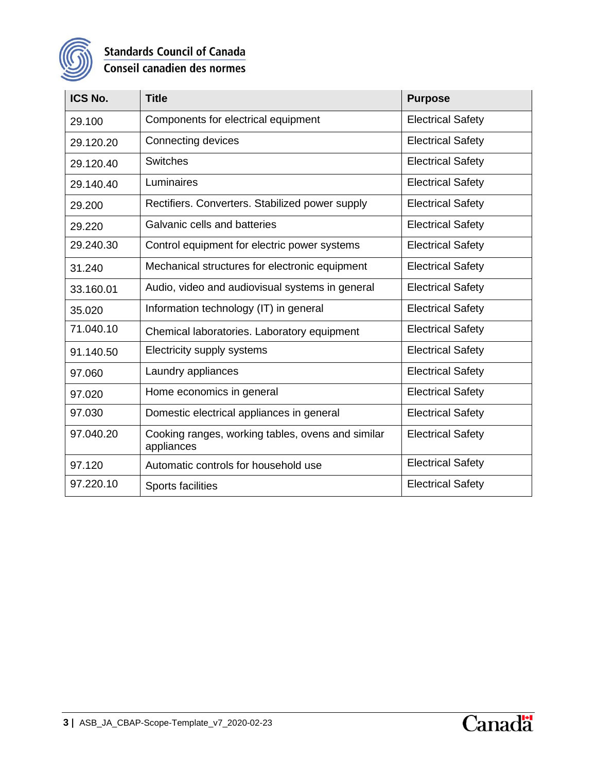

## **Standards Council of Canada** Conseil canadien des normes

| ICS No.   | <b>Title</b>                                                    | <b>Purpose</b>           |
|-----------|-----------------------------------------------------------------|--------------------------|
| 29.100    | Components for electrical equipment                             | <b>Electrical Safety</b> |
| 29.120.20 | Connecting devices                                              | <b>Electrical Safety</b> |
| 29.120.40 | <b>Switches</b>                                                 | <b>Electrical Safety</b> |
| 29.140.40 | Luminaires                                                      | <b>Electrical Safety</b> |
| 29.200    | Rectifiers. Converters. Stabilized power supply                 | <b>Electrical Safety</b> |
| 29.220    | Galvanic cells and batteries                                    | <b>Electrical Safety</b> |
| 29.240.30 | Control equipment for electric power systems                    | <b>Electrical Safety</b> |
| 31.240    | Mechanical structures for electronic equipment                  | <b>Electrical Safety</b> |
| 33.160.01 | Audio, video and audiovisual systems in general                 | <b>Electrical Safety</b> |
| 35.020    | Information technology (IT) in general                          | <b>Electrical Safety</b> |
| 71.040.10 | Chemical laboratories. Laboratory equipment                     | <b>Electrical Safety</b> |
| 91.140.50 | Electricity supply systems                                      | <b>Electrical Safety</b> |
| 97.060    | Laundry appliances                                              | <b>Electrical Safety</b> |
| 97.020    | Home economics in general                                       | <b>Electrical Safety</b> |
| 97.030    | Domestic electrical appliances in general                       | <b>Electrical Safety</b> |
| 97.040.20 | Cooking ranges, working tables, ovens and similar<br>appliances | <b>Electrical Safety</b> |
| 97.120    | Automatic controls for household use                            | <b>Electrical Safety</b> |
| 97.220.10 | Sports facilities                                               | <b>Electrical Safety</b> |